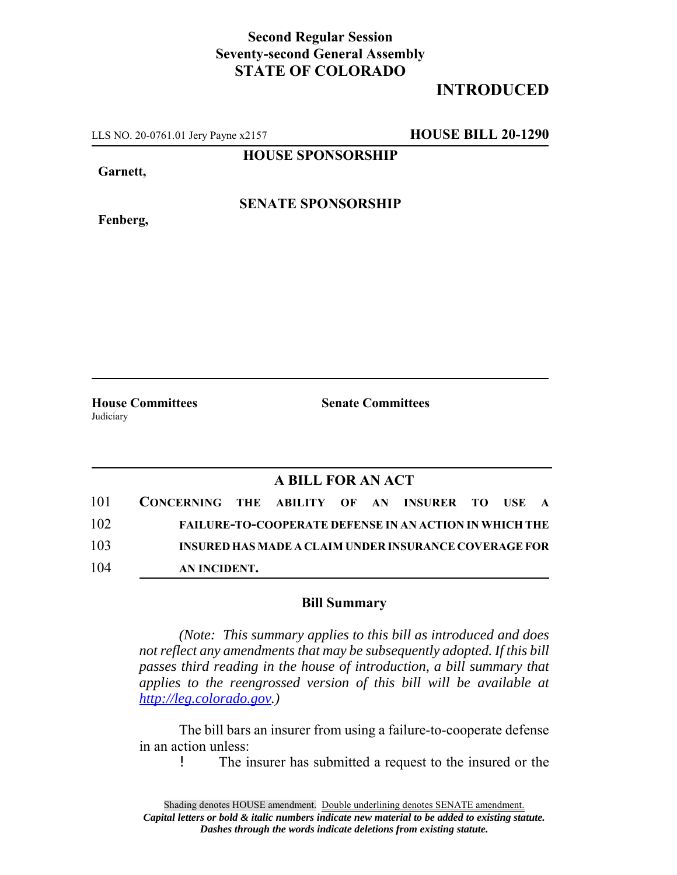## **Second Regular Session Seventy-second General Assembly STATE OF COLORADO**

## **INTRODUCED**

LLS NO. 20-0761.01 Jery Payne x2157 **HOUSE BILL 20-1290**

**HOUSE SPONSORSHIP**

**Garnett,**

**Fenberg,**

**SENATE SPONSORSHIP**

**House Committees Senate Committees** Judiciary

## **A BILL FOR AN ACT**

| 101 | CONCERNING THE ABILITY OF AN INSURER TO USE A |  |  |                                                               |  |  |
|-----|-----------------------------------------------|--|--|---------------------------------------------------------------|--|--|
| 102 |                                               |  |  | <b>FAILURE-TO-COOPERATE DEFENSE IN AN ACTION IN WHICH THE</b> |  |  |
| 103 |                                               |  |  | INSURED HAS MADE A CLAIM UNDER INSURANCE COVERAGE FOR         |  |  |
| 104 | AN INCIDENT.                                  |  |  |                                                               |  |  |

## **Bill Summary**

*(Note: This summary applies to this bill as introduced and does not reflect any amendments that may be subsequently adopted. If this bill passes third reading in the house of introduction, a bill summary that applies to the reengrossed version of this bill will be available at http://leg.colorado.gov.)*

The bill bars an insurer from using a failure-to-cooperate defense in an action unless:

! The insurer has submitted a request to the insured or the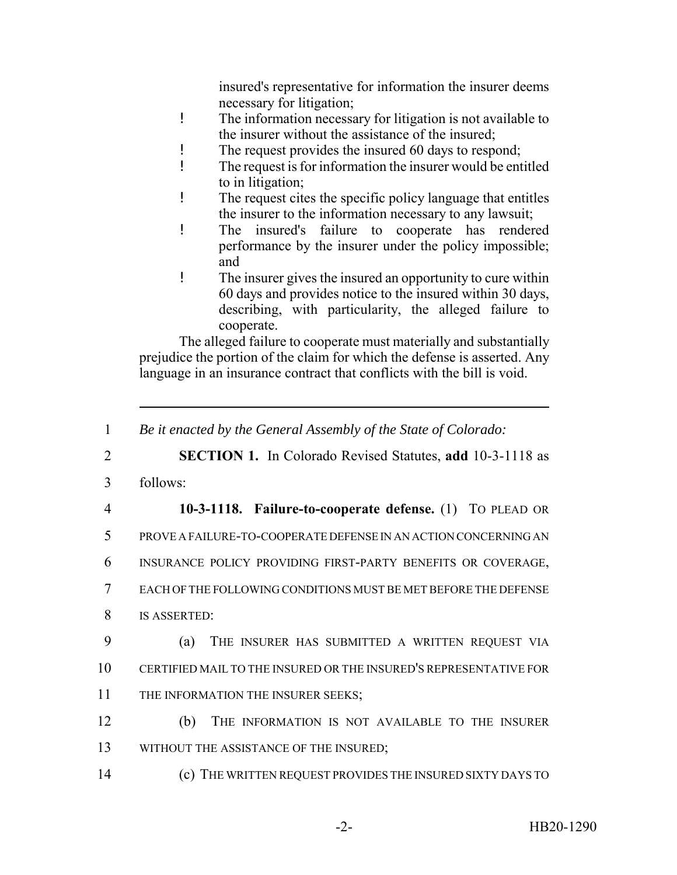insured's representative for information the insurer deems necessary for litigation;

- ! The information necessary for litigation is not available to the insurer without the assistance of the insured;
- ! The request provides the insured 60 days to respond;
- ! The request is for information the insurer would be entitled to in litigation;
- ! The request cites the specific policy language that entitles the insurer to the information necessary to any lawsuit;
- ! The insured's failure to cooperate has rendered performance by the insurer under the policy impossible; and
- ! The insurer gives the insured an opportunity to cure within 60 days and provides notice to the insured within 30 days, describing, with particularity, the alleged failure to cooperate.

The alleged failure to cooperate must materially and substantially prejudice the portion of the claim for which the defense is asserted. Any language in an insurance contract that conflicts with the bill is void.

2 **SECTION 1.** In Colorado Revised Statutes, **add** 10-3-1118 as

- 3 follows:
- 4 **10-3-1118. Failure-to-cooperate defense.** (1) TO PLEAD OR 5 PROVE A FAILURE-TO-COOPERATE DEFENSE IN AN ACTION CONCERNING AN 6 INSURANCE POLICY PROVIDING FIRST-PARTY BENEFITS OR COVERAGE, 7 EACH OF THE FOLLOWING CONDITIONS MUST BE MET BEFORE THE DEFENSE
- 8 IS ASSERTED:
- 9 (a) THE INSURER HAS SUBMITTED A WRITTEN REQUEST VIA 10 CERTIFIED MAIL TO THE INSURED OR THE INSURED'S REPRESENTATIVE FOR 11 THE INFORMATION THE INSURER SEEKS;
- 12 (b) THE INFORMATION IS NOT AVAILABLE TO THE INSURER 13 WITHOUT THE ASSISTANCE OF THE INSURED;
- 14 (c) THE WRITTEN REQUEST PROVIDES THE INSURED SIXTY DAYS TO

<sup>1</sup> *Be it enacted by the General Assembly of the State of Colorado:*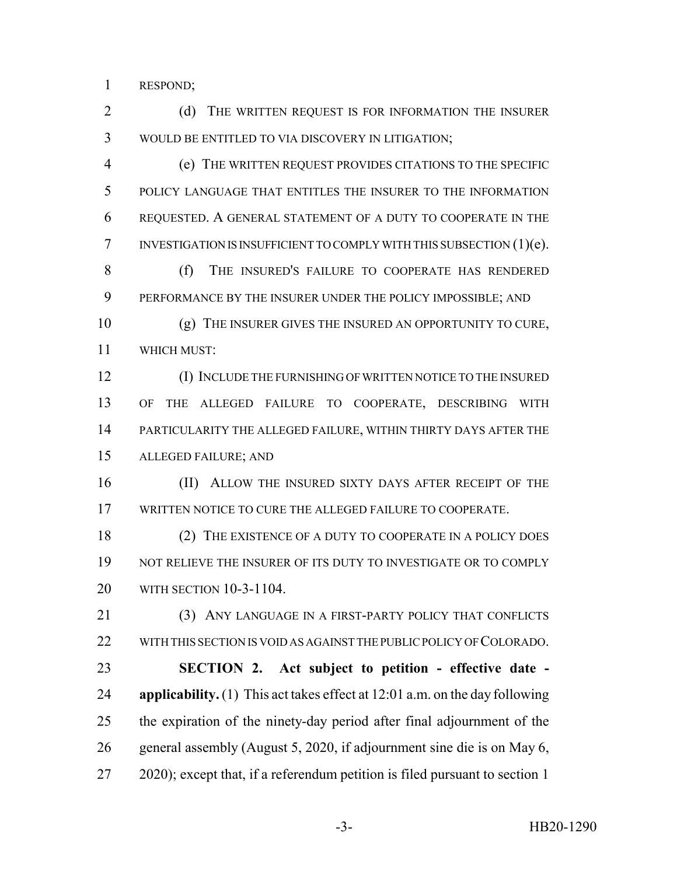RESPOND;

2 (d) THE WRITTEN REQUEST IS FOR INFORMATION THE INSURER WOULD BE ENTITLED TO VIA DISCOVERY IN LITIGATION;

 (e) THE WRITTEN REQUEST PROVIDES CITATIONS TO THE SPECIFIC POLICY LANGUAGE THAT ENTITLES THE INSURER TO THE INFORMATION REQUESTED. A GENERAL STATEMENT OF A DUTY TO COOPERATE IN THE INVESTIGATION IS INSUFFICIENT TO COMPLY WITH THIS SUBSECTION (1)(e).

 (f) THE INSURED'S FAILURE TO COOPERATE HAS RENDERED PERFORMANCE BY THE INSURER UNDER THE POLICY IMPOSSIBLE; AND

 (g) THE INSURER GIVES THE INSURED AN OPPORTUNITY TO CURE, WHICH MUST:

 (I) INCLUDE THE FURNISHING OF WRITTEN NOTICE TO THE INSURED OF THE ALLEGED FAILURE TO COOPERATE, DESCRIBING WITH PARTICULARITY THE ALLEGED FAILURE, WITHIN THIRTY DAYS AFTER THE ALLEGED FAILURE; AND

16 (II) ALLOW THE INSURED SIXTY DAYS AFTER RECEIPT OF THE WRITTEN NOTICE TO CURE THE ALLEGED FAILURE TO COOPERATE.

18 (2) THE EXISTENCE OF A DUTY TO COOPERATE IN A POLICY DOES NOT RELIEVE THE INSURER OF ITS DUTY TO INVESTIGATE OR TO COMPLY WITH SECTION 10-3-1104.

 (3) ANY LANGUAGE IN A FIRST-PARTY POLICY THAT CONFLICTS 22 WITH THIS SECTION IS VOID AS AGAINST THE PUBLIC POLICY OF COLORADO. **SECTION 2. Act subject to petition - effective date - applicability.** (1) This act takes effect at 12:01 a.m. on the day following

 the expiration of the ninety-day period after final adjournment of the general assembly (August 5, 2020, if adjournment sine die is on May 6,

2020); except that, if a referendum petition is filed pursuant to section 1